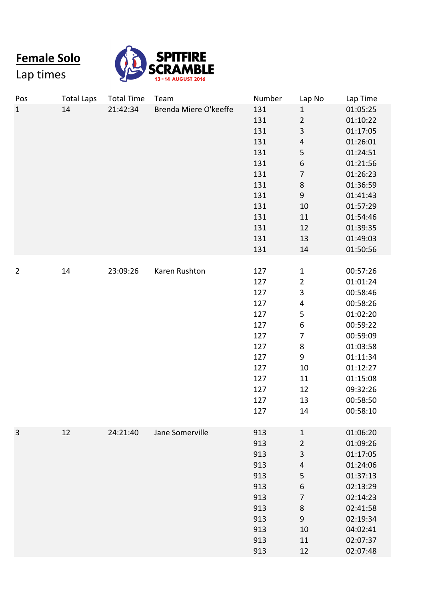**Female Solo**

Lap times



| Pos            | <b>Total Laps</b> | <b>Total Time</b> | Team                  | Number | Lap No                  | Lap Time |
|----------------|-------------------|-------------------|-----------------------|--------|-------------------------|----------|
| $\mathbf{1}$   | 14                | 21:42:34          | Brenda Miere O'keeffe | 131    | $\mathbf{1}$            | 01:05:25 |
|                |                   |                   |                       | 131    | $\mathbf 2$             | 01:10:22 |
|                |                   |                   |                       | 131    | 3                       | 01:17:05 |
|                |                   |                   |                       | 131    | $\overline{4}$          | 01:26:01 |
|                |                   |                   |                       | 131    | 5                       | 01:24:51 |
|                |                   |                   |                       | 131    | $\,$ 6 $\,$             | 01:21:56 |
|                |                   |                   |                       | 131    | $\overline{7}$          | 01:26:23 |
|                |                   |                   |                       | 131    | $\bf 8$                 | 01:36:59 |
|                |                   |                   |                       | 131    | $\boldsymbol{9}$        | 01:41:43 |
|                |                   |                   |                       | 131    | 10                      | 01:57:29 |
|                |                   |                   |                       | 131    | 11                      | 01:54:46 |
|                |                   |                   |                       | 131    | 12                      | 01:39:35 |
|                |                   |                   |                       | 131    | 13                      | 01:49:03 |
|                |                   |                   |                       | 131    | 14                      | 01:50:56 |
|                |                   |                   |                       |        |                         |          |
| $\overline{2}$ | 14                | 23:09:26          | Karen Rushton         | 127    | $\mathbf{1}$            | 00:57:26 |
|                |                   |                   |                       | 127    | $\overline{2}$          | 01:01:24 |
|                |                   |                   |                       | 127    | $\overline{\mathbf{3}}$ | 00:58:46 |
|                |                   |                   |                       | 127    | $\pmb{4}$               | 00:58:26 |
|                |                   |                   |                       | 127    | 5                       | 01:02:20 |
|                |                   |                   |                       | 127    | $\boldsymbol{6}$        | 00:59:22 |
|                |                   |                   |                       | 127    | $\overline{7}$          | 00:59:09 |
|                |                   |                   |                       | 127    | $\bf 8$                 | 01:03:58 |
|                |                   |                   |                       | 127    | 9                       | 01:11:34 |
|                |                   |                   |                       | 127    | 10                      | 01:12:27 |
|                |                   |                   |                       | 127    | 11                      | 01:15:08 |
|                |                   |                   |                       | 127    | 12                      | 09:32:26 |
|                |                   |                   |                       | 127    | 13                      | 00:58:50 |
|                |                   |                   |                       | 127    | 14                      | 00:58:10 |
| $\mathbf{3}$   | 12                | 24:21:40          | Jane Somerville       | 913    | $\mathbf{1}$            | 01:06:20 |
|                |                   |                   |                       | 913    | $\mathbf 2$             | 01:09:26 |
|                |                   |                   |                       | 913    | $\overline{3}$          | 01:17:05 |
|                |                   |                   |                       | 913    | $\sqrt{4}$              | 01:24:06 |
|                |                   |                   |                       | 913    | 5                       | 01:37:13 |
|                |                   |                   |                       | 913    | $\boldsymbol{6}$        | 02:13:29 |
|                |                   |                   |                       | 913    | $\overline{7}$          | 02:14:23 |
|                |                   |                   |                       | 913    | $\,8\,$                 | 02:41:58 |
|                |                   |                   |                       | 913    | $\boldsymbol{9}$        | 02:19:34 |
|                |                   |                   |                       | 913    | 10                      | 04:02:41 |
|                |                   |                   |                       | 913    | 11                      | 02:07:37 |
|                |                   |                   |                       | 913    | 12                      | 02:07:48 |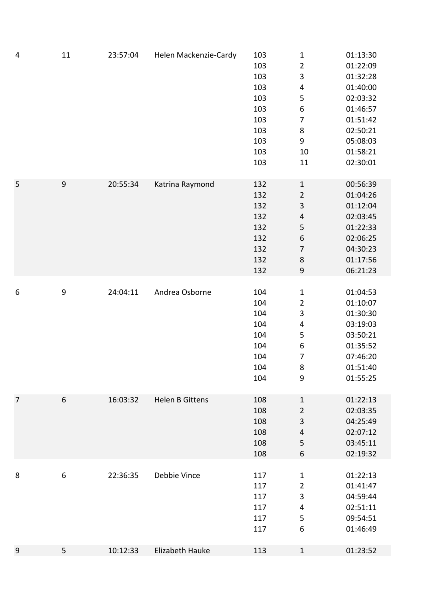| 4                | 11               | 23:57:04 | Helen Mackenzie-Cardy | 103<br>103<br>103<br>103<br>103<br>103<br>103<br>103<br>103<br>103<br>103 | $\mathbf{1}$<br>$\overline{c}$<br>3<br>4<br>5<br>$\boldsymbol{6}$<br>$\overline{7}$<br>$\bf 8$<br>9<br>10<br>11                          | 01:13:30<br>01:22:09<br>01:32:28<br>01:40:00<br>02:03:32<br>01:46:57<br>01:51:42<br>02:50:21<br>05:08:03<br>01:58:21<br>02:30:01 |
|------------------|------------------|----------|-----------------------|---------------------------------------------------------------------------|------------------------------------------------------------------------------------------------------------------------------------------|----------------------------------------------------------------------------------------------------------------------------------|
| 5                | $\boldsymbol{9}$ | 20:55:34 | Katrina Raymond       | 132<br>132<br>132<br>132<br>132<br>132<br>132<br>132<br>132               | $\mathbf{1}$<br>$\overline{c}$<br>3<br>$\overline{\mathbf{r}}$<br>5<br>$\boldsymbol{6}$<br>$\overline{7}$<br>$\bf 8$<br>$\boldsymbol{9}$ | 00:56:39<br>01:04:26<br>01:12:04<br>02:03:45<br>01:22:33<br>02:06:25<br>04:30:23<br>01:17:56<br>06:21:23                         |
| $\boldsymbol{6}$ | 9                | 24:04:11 | Andrea Osborne        | 104<br>104<br>104<br>104<br>104<br>104<br>104<br>104<br>104               | $\mathbf{1}$<br>$\overline{c}$<br>3<br>$\overline{\mathbf{4}}$<br>5<br>$\boldsymbol{6}$<br>7<br>8<br>$\boldsymbol{9}$                    | 01:04:53<br>01:10:07<br>01:30:30<br>03:19:03<br>03:50:21<br>01:35:52<br>07:46:20<br>01:51:40<br>01:55:25                         |
| $\overline{7}$   | 6                | 16:03:32 | Helen B Gittens       | 108<br>108<br>108<br>108<br>108<br>108                                    | $\mathbf{1}$<br>$\overline{2}$<br>3<br>$\overline{\mathbf{4}}$<br>5<br>6                                                                 | 01:22:13<br>02:03:35<br>04:25:49<br>02:07:12<br>03:45:11<br>02:19:32                                                             |
| 8                | $\boldsymbol{6}$ | 22:36:35 | Debbie Vince          | 117<br>117<br>117<br>117<br>117<br>117                                    | $\mathbf{1}$<br>$\overline{\mathbf{c}}$<br>3<br>4<br>5<br>6                                                                              | 01:22:13<br>01:41:47<br>04:59:44<br>02:51:11<br>09:54:51<br>01:46:49                                                             |
| $\overline{9}$   | 5                | 10:12:33 | Elizabeth Hauke       | 113                                                                       | $\mathbf{1}$                                                                                                                             | 01:23:52                                                                                                                         |